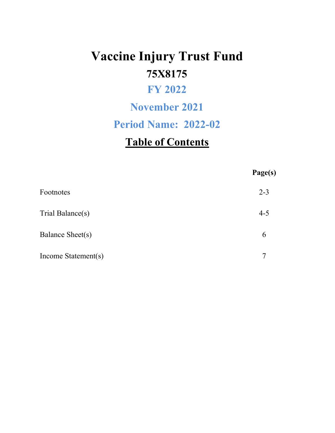# **Vaccine Injury Trust Fund 75X8175**

# **FY 2022**

## **November 2021**

# **Period Name: 2022-02**

# **Table of Contents**

|                     | Page(s) |
|---------------------|---------|
| Footnotes           | $2 - 3$ |
| Trial Balance(s)    | $4 - 5$ |
| Balance Sheet(s)    | 6       |
| Income Statement(s) | 7       |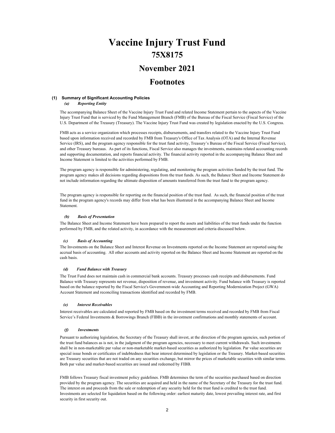### **Vaccine Injury Trust Fund 75X8175**

### **November 2021**

### **Footnotes**

#### **(1) Summary of Significant Accounting Policies**

 *(a) Reporting Entity*

The accompanying Balance Sheet of the Vaccine Injury Trust Fund and related Income Statement pertain to the aspects of the Vaccine Injury Trust Fund that is serviced by the Fund Management Branch (FMB) of the Bureau of the Fiscal Service (Fiscal Service) of the U.S. Department of the Treasury (Treasury). The Vaccine Injury Trust Fund was created by legislation enacted by the U.S. Congress.

FMB acts as a service organization which processes receipts, disbursements, and transfers related to the Vaccine Injury Trust Fund based upon information received and recorded by FMB from Treasury's Office of Tax Analysis (OTA) and the Internal Revenue Service (IRS), and the program agency responsible for the trust fund activity, Treasury's Bureau of the Fiscal Service (Fiscal Service), and other Treasury bureaus. As part of its functions, Fiscal Service also manages the investments, maintains related accounting records and supporting documentation, and reports financial activity. The financial activity reported in the accompanying Balance Sheet and Income Statement is limited to the activities performed by FMB.

The program agency is responsible for administering, regulating, and monitoring the program activities funded by the trust fund. The program agency makes all decisions regarding dispositions from the trust funds. As such, the Balance Sheet and Income Statement do not include information regarding the ultimate disposition of amounts transferred from the trust fund to the program agency.

The program agency is responsible for reporting on the financial position of the trust fund. As such, the financial position of the trust fund in the program agency's records may differ from what has been illustrated in the accompanying Balance Sheet and Income Statement.

#### *(b) Basis of Presentation*

The Balance Sheet and Income Statement have been prepared to report the assets and liabilities of the trust funds under the function performed by FMB, and the related activity, in accordance with the measurement and criteria discussed below.

#### *(c) Basis of Accounting*

The Investments on the Balance Sheet and Interest Revenue on Investments reported on the Income Statement are reported using the accrual basis of accounting. All other accounts and activity reported on the Balance Sheet and Income Statement are reported on the cash basis.

#### *(d) Fund Balance with Treasury*

The Trust Fund does not maintain cash in commercial bank accounts. Treasury processes cash receipts and disbursements. Fund Balance with Treasury represents net revenue, disposition of revenue, and investment activity. Fund balance with Treasury is reported based on the balance reported by the Fiscal Service's Government-wide Accounting and Reporting Modernization Project (GWA) Account Statement and reconciling transactions identified and recorded by FMB.

#### *(e) Interest Receivables*

Interest receivables are calculated and reported by FMB based on the investment terms received and recorded by FMB from Fiscal Service's Federal Investments & Borrowings Branch (FIBB) in the investment confirmations and monthly statements of account.

#### *(f) Investments*

Pursuant to authorizing legislation, the Secretary of the Treasury shall invest, at the direction of the program agencies, such portion of the trust fund balances as is not, in the judgment of the program agencies, necessary to meet current withdrawals. Such investments shall be in non-marketable par value or non-marketable market-based securities as authorized by legislation. Par value securities are special issue bonds or certificates of indebtedness that bear interest determined by legislation or the Treasury. Market-based securities are Treasury securities that are not traded on any securities exchange, but mirror the prices of marketable securities with similar terms. Both par value and market-based securities are issued and redeemed by FIBB.

FMB follows Treasury fiscal investment policy guidelines. FMB determines the term of the securities purchased based on direction provided by the program agency. The securities are acquired and held in the name of the Secretary of the Treasury for the trust fund. The interest on and proceeds from the sale or redemption of any security held for the trust fund is credited to the trust fund. Investments are selected for liquidation based on the following order: earliest maturity date, lowest prevailing interest rate, and first security in first security out.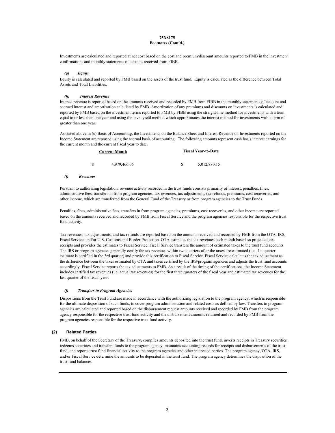#### **75X8175 Footnotes (Cont'd.)**

Investments are calculated and reported at net cost based on the cost and premium/discount amounts reported to FMB in the investment confirmations and monthly statements of account received from FIBB.

#### *(g) Equity*

Equity is calculated and reported by FMB based on the assets of the trust fund. Equity is calculated as the difference between Total Assets and Total Liabilities.

#### *(h) Interest Revenue*

Interest revenue is reported based on the amounts received and recorded by FMB from FIBB in the monthly statements of account and accrued interest and amortization calculated by FMB. Amortization of any premiums and discounts on investments is calculated and reported by FMB based on the investment terms reported to FMB by FIBB using the straight-line method for investments with a term equal to or less than one year and using the level yield method which approximates the interest method for investments with a term of greater than one year.

As stated above in (c) Basis of Accounting, the Investments on the Balance Sheet and Interest Revenue on Investments reported on the Income Statement are reported using the accrual basis of accounting. The following amounts represent cash basis interest earnings for the current month and the current fiscal year to date.

|    | <b>Current Month</b> |   | <b>Fiscal Year-to-Date</b> |
|----|----------------------|---|----------------------------|
| -S | 4,979,466.06         | S | 5,012,880.15               |

#### *(i) Revenues*

Pursuant to authorizing legislation, revenue activity recorded in the trust funds consists primarily of interest, penalties, fines, administrative fees, transfers in from program agencies, tax revenues, tax adjustments, tax refunds, premiums, cost recoveries, and other income, which are transferred from the General Fund of the Treasury or from program agencies to the Trust Funds.

Penalties, fines, administrative fees, transfers in from program agencies, premiums, cost recoveries, and other income are reported based on the amounts received and recorded by FMB from Fiscal Service and the program agencies responsible for the respective trust fund activity.

Tax revenues, tax adjustments, and tax refunds are reported based on the amounts received and recorded by FMB from the OTA, IRS, Fiscal Service, and/or U.S. Customs and Border Protection. OTA estimates the tax revenues each month based on projected tax receipts and provides the estimates to Fiscal Service. Fiscal Service transfers the amount of estimated taxes to the trust fund accounts. The IRS or program agencies generally certify the tax revenues within two quarters after the taxes are estimated (i.e., 1st quarter estimate is certified in the 3rd quarter) and provide this certification to Fiscal Service. Fiscal Service calculates the tax adjustment as the difference between the taxes estimated by OTA and taxes certified by the IRS/program agencies and adjusts the trust fund accounts accordingly. Fiscal Service reports the tax adjustments to FMB. As a result of the timing of the certifications, the Income Statement includes certified tax revenues (i.e. actual tax revenues) for the first three quarters of the fiscal year and estimated tax revenues for the last quarter of the fiscal year.

#### *(j) Transfers to Program Agencies*

Dispositions from the Trust Fund are made in accordance with the authorizing legislation to the program agency, which is responsible for the ultimate disposition of such funds, to cover program administration and related costs as defined by law. Transfers to program agencies are calculated and reported based on the disbursement request amounts received and recorded by FMB from the program agency responsible for the respective trust fund activity and the disbursement amounts returned and recorded by FMB from the program agencies responsible for the respective trust fund activity.

#### **(2) Related Parties**

FMB, on behalf of the Secretary of the Treasury, compiles amounts deposited into the trust fund, invests receipts in Treasury securities, redeems securities and transfers funds to the program agency, maintains accounting records for receipts and disbursements of the trust fund, and reports trust fund financial activity to the program agencies and other interested parties. The program agency, OTA, IRS, and/or Fiscal Service determine the amounts to be deposited in the trust fund. The program agency determines the disposition of the trust fund balances.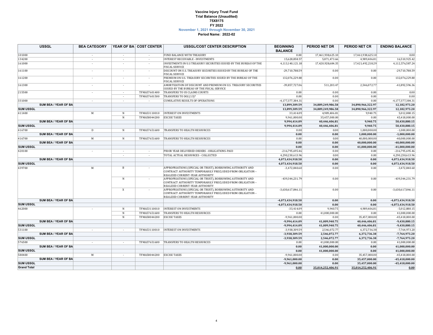#### **Vaccine Injury Trust Fund 75X8175 November 1, 2021 through November 30, 2021 Period Name: 2022-02 Trial Balance (Unaudited) FY 2022**

|                    | <b>USSGL</b>         | <b>BEA CATEGORY</b>      |                          | YEAR OF BA COST CENTER | <b>USSGL/COST CENTER DESCRIPTION</b>                                                                                                                        | <b>BEGINNING</b>       | PERIOD NET DR     | PERIOD NET CR     | <b>ENDING BALANCE</b> |
|--------------------|----------------------|--------------------------|--------------------------|------------------------|-------------------------------------------------------------------------------------------------------------------------------------------------------------|------------------------|-------------------|-------------------|-----------------------|
| 101000             |                      |                          |                          |                        | FUND BALANCE WITH TREASURY                                                                                                                                  | <b>BALANCE</b><br>0.00 | 17,461,938,625.10 | 17,461,938,625.10 | 0.00                  |
|                    |                      |                          | $\sim$                   |                        |                                                                                                                                                             |                        |                   |                   |                       |
| 134200             |                      | $\sim$                   | $\sim$                   | $\sim$                 | <b>INTEREST RECEIVABLE - INVESTMENTS</b>                                                                                                                    | 15,628,858.57          | 5,871,473.66      | 4,989,406.81      | 16,510,925.42         |
| 161000             |                      |                          | $\overline{\phantom{a}}$ |                        | INVESTMENTS IN U.S TREASURY SECURITIES ISSUED BY THE BUREAU OF THE<br><b>FISCAL SERVICE</b>                                                                 | 4,113,140,121.18       | 17,420,928,684.35 | 17,421,492,218.29 | 4,112,576,587.24      |
| 161100             |                      | $\sim$                   | $\sim$                   | $\sim$                 | DISCOUNT ON U.S. TREASURY SECURITIES ISSUED BY THE BUREAU OF THE<br><b>FISCAL SERVICE</b>                                                                   | $-29,710,788.59$       | 0.00              | 0.00              | -29,710,788.59        |
| 161200             |                      | ÷                        | $\sim$                   | $\sim$                 | PREMIUM ON U.S. TREASURY SECURITIES ISSUED BY THE BUREAU OF THE<br><b>FISCAL SERVICE</b>                                                                    | 132,076,229.80         | 0.00              | 0.00              | 132,076,229.80        |
| 161300             |                      | $\sim$                   | ÷.                       |                        | AMORTIZATION OF DISCOUNT AND PREMIUM ON U.S. TREASURY SECURITIES<br>ISSUED BY THE BUREAU OF THE FISCAL SERVICE                                              | $-39,857,727.06$       | 511,203.47        | 2,546,072.77      | -41,892,596.36        |
| 215500             |                      | $\overline{\phantom{a}}$ | $\sim$                   | TFMA57601400           | TRANSFERS TO US CLAIMS COURTS                                                                                                                               | 0.00                   | 0.00              | 0.00              | 0.00                  |
|                    |                      |                          | $\sim$                   | TFMA57601500           | TRANSFERS TO DOJ (13)*                                                                                                                                      | 0.00                   | 0.00              | 0.00              | 0.00                  |
| 331000             |                      | $\sim$                   | ÷                        |                        | <b>CUMULATIVE RESULTS OF OPERATIONS</b>                                                                                                                     | -4,177,377,384.31      | 0.00              | 0.00              | -4,177,377,384.31     |
|                    | SUM BEA / YEAR OF BA |                          |                          |                        |                                                                                                                                                             | 13,899,309.59          | 34,889,249,986.58 | 34,890,966,322.97 | 12,182,973.20         |
| <b>SUM USSGL</b>   |                      |                          |                          |                        |                                                                                                                                                             | 13,899,309.59          | 34,889,249,986.58 | 34,890,966,322.97 | 12,182,973.20         |
| 411400             |                      | M                        | N                        | TFMA53110010           | <b>INTEREST ON INVESTMENTS</b>                                                                                                                              | 33,414.09              | 4,989,406.81      | 9,940.75          | 5,012,880.15          |
|                    |                      |                          | N                        | TFMA58044200           | <b>EXCISE TAXES</b>                                                                                                                                         | 9,961,000.00           | 35,457,000.00     | 0.00              | 45,418,000.00         |
|                    | SUM BEA / YEAR OF BA |                          |                          |                        |                                                                                                                                                             | 9,994,414.09           | 40,446,406.81     | 9,940.75          | 50,430,880.15         |
| <b>SUM USSGL</b>   |                      |                          |                          |                        |                                                                                                                                                             | 9,994,414.09           | 40,446,406.81     | 9,940.75          | 50,430,880.15         |
| 416700             |                      | D                        | N                        | TFMA57651600           | TRANSFERS TO HEALTH RESOURCES                                                                                                                               | 0.00                   | 0.00              | 1,000,000.00      | $-1,000,000.00$       |
|                    | SUM BEA / YEAR OF BA |                          |                          |                        |                                                                                                                                                             | 0.00                   | 0.00              | 1,000,000.00      | $-1,000,000.00$       |
| 416700             |                      | M                        | N                        | TFMA57651600           | TRANSFERS TO HEALTH RESOURCES                                                                                                                               | 0.00                   | 0.00              | 40,000,000.00     | $-40,000,000.00$      |
|                    | SUM BEA / YEAR OF BA |                          |                          |                        |                                                                                                                                                             | 0.00                   | 0.00              | 40,000,000.00     | $-40,000,000.00$      |
| <b>SUM USSGL</b>   |                      |                          |                          |                        |                                                                                                                                                             | 0.00                   | 0.00              | 41,000,000.00     | $-41,000,000.00$      |
| 420100             |                      |                          | $\sim$                   | $\sim$                 | PRIOR YEAR DELIVERED ORDERS - OBLIGATIONS-PAID                                                                                                              | $-216,795,695.46$      | 0.00              | 0.00              | $-216,795,695.46$     |
|                    |                      |                          | $\overline{\phantom{a}}$ |                        | TOTAL ACTUAL RESOURCES - COLLECTED                                                                                                                          | 4,290,230,613.96       | 0.00              | 0.00              | 4,290,230,613.96      |
|                    | SUM BEA / YEAR OF BA |                          |                          |                        |                                                                                                                                                             | 4,073,434,918.50       | 0.00              | 0.00              | 4,073,434,918.50      |
| <b>SUM USSGL</b>   |                      |                          |                          |                        |                                                                                                                                                             | 4,073,434,918.50       | 0.00              | 0.00              | 4,073,434,918.50      |
|                    |                      |                          |                          |                        |                                                                                                                                                             |                        |                   |                   |                       |
| 439700             |                      | M                        | B                        |                        | APPROPRIATIONS (SPECIAL OR TRUST), BORROWING AUTHORITY AND<br>CONTRACT AUTHORITY TEMPORARILY PRECLUDED FROM OBLIGATION -<br>REALIZED CURRENT-YEAR AUTHORITY | $-3,472,840.60$        | 0.00              | 0.00              | $-3,472,840.60$       |
|                    |                      |                          | N                        |                        | APPROPRIATIONS (SPECIAL OR TRUST), BORROWING AUTHORITY AND<br>CONTRACT AUTHORITY TEMPORARILY PRECLUDED FROM OBLIGATION -<br>REALIZED CURRENT-YEAR AUTHORITY | -439,344,231.79        | 0.00              | 0.00              | -439,344,231.79       |
|                    |                      |                          | X                        |                        | APPROPRIATIONS (SPECIAL OR TRUST), BORROWING AUTHORITY AND<br>CONTRACT AUTHORITY TEMPORARILY PRECLUDED FROM OBLIGATION -<br>REALIZED CURRENT-YEAR AUTHORITY | $-3,630,617,846.11$    | 0.00              | 0.00              | $-3,630,617,846.11$   |
|                    | SUM BEA / YEAR OF BA |                          |                          |                        |                                                                                                                                                             | -4,073,434,918.50      | 0.00              | 0.00              | -4,073,434,918.50     |
| <b>SUM USSGL</b>   |                      |                          |                          |                        |                                                                                                                                                             | -4,073,434,918.50      | 0.00              | 0.00              | -4,073,434,918.50     |
| 462000             |                      |                          | N                        | TFMA53110010           | <b>INTEREST ON INVESTMENTS</b>                                                                                                                              | $-33,414.09$           | 9,940.75          | 4,989,406.81      | $-5,012,880.15$       |
|                    |                      |                          | N                        | TFMA57651600           | TRANSFERS TO HEALTH RESOURCES                                                                                                                               | 0.00                   | 41,000,000.00     | 0.00              | 41,000,000.00         |
|                    |                      |                          | N                        | TFMA58044200           | <b>EXCISE TAXES</b>                                                                                                                                         | $-9,961,000.00$        | 0.00              | 35,457,000.00     | $-45,418,000.00$      |
|                    | SUM BEA / YEAR OF BA |                          |                          |                        |                                                                                                                                                             | $-9,994,414.09$        | 41,009,940.75     | 40,446,406.81     | $-9,430,880.15$       |
| <b>SUM USSGL</b>   |                      |                          |                          |                        |                                                                                                                                                             | -9,994,414.09          | 41,009,940.75     | 40,446,406.81     | $-9,430,880.15$       |
| 531100             |                      | $\sim$                   | $\sim$                   | TFMA53110010           | <b>INTEREST ON INVESTMENTS</b>                                                                                                                              | -3,938,309.59          | 2,546,072.77      | 6,372,736.38      | -7,764,973.20         |
|                    | SUM BEA / YEAR OF BA |                          |                          |                        |                                                                                                                                                             | $-3,938,309.59$        | 2,546,072.77      | 6,372,736.38      | $-7,764,973.20$       |
| <b>SUM USSGL</b>   |                      |                          |                          |                        |                                                                                                                                                             | -3,938,309.59          | 2,546,072.77      | 6,372,736.38      | $-7,764,973.20$       |
| 576500             |                      | $\sim$                   | $\sim$                   | TFMA57651600           | <b>TRANSFERS TO HEALTH RESOURCES</b>                                                                                                                        | 0.00                   | 41,000,000.00     | 0.00              | 41,000,000.00         |
|                    | SUM BEA / YEAR OF BA |                          |                          |                        |                                                                                                                                                             | 0.00                   | 41,000,000.00     | 0.00              | 41,000,000.00         |
| <b>SUM USSGL</b>   |                      |                          |                          |                        |                                                                                                                                                             | 0.00                   | 41,000,000.00     | 0.00              | 41,000,000.00         |
| 580400             |                      | M                        | $\sim$                   | TFMA58044200           | <b>EXCISE TAXES</b>                                                                                                                                         | $-9,961,000.00$        | 0.00              | 35,457,000.00     | $-45,418,000.00$      |
|                    | SUM BEA / YEAR OF BA |                          |                          |                        |                                                                                                                                                             | $-9,961,000.00$        | 0.00              | 35,457,000.00     | $-45,418,000.00$      |
| <b>SUM USSGL</b>   |                      |                          |                          |                        |                                                                                                                                                             | $-9,961,000.00$        | 0.00              | 35,457,000.00     | $-45,418,000.00$      |
| <b>Grand Total</b> |                      |                          |                          |                        |                                                                                                                                                             | 0.00                   | 35.014.252.406.91 | 35,014,252,406.91 | 0.00                  |
|                    |                      |                          |                          |                        |                                                                                                                                                             |                        |                   |                   |                       |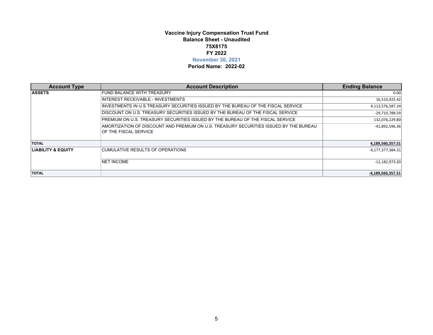### **Vaccine Injury Compensation Trust Fund Balance Sheet - Unaudited 75X8175 November 30, 2021 FY 2022**

#### **Period Name: 2022-02**

| <b>Account Type</b>           | <b>Account Description</b>                                                                                      | <b>Ending Balance</b> |
|-------------------------------|-----------------------------------------------------------------------------------------------------------------|-----------------------|
| <b>ASSETS</b>                 | <b>FUND BALANCE WITH TREASURY</b>                                                                               | 0.00                  |
|                               | INTEREST RECEIVABLE - INVESTMENTS                                                                               | 16,510,925.42         |
|                               | INVESTMENTS IN U.S TREASURY SECURITIES ISSUED BY THE BUREAU OF THE FISCAL SERVICE                               | 4,112,576,587.24      |
|                               | DISCOUNT ON U.S. TREASURY SECURITIES ISSUED BY THE BUREAU OF THE FISCAL SERVICE                                 | $-29,710,788.59$      |
|                               | PREMIUM ON U.S. TREASURY SECURITIES ISSUED BY THE BUREAU OF THE FISCAL SERVICE                                  | 132,076,229.80        |
|                               | IAMORTIZATION OF DISCOUNT AND PREMIUM ON U.S. TREASURY SECURITIES ISSUED BY THE BUREAU<br>OF THE FISCAL SERVICE | $-41,892,596.36$      |
| <b>TOTAL</b>                  |                                                                                                                 | 4.189.560.357.51      |
| <b>LIABILITY &amp; EQUITY</b> | CUMULATIVE RESULTS OF OPERATIONS                                                                                | -4,177,377,384.31     |
|                               | <b>NET INCOME</b>                                                                                               | $-12,182,973.20$      |
| <b>TOTAL</b>                  |                                                                                                                 | -4,189,560,357.51     |